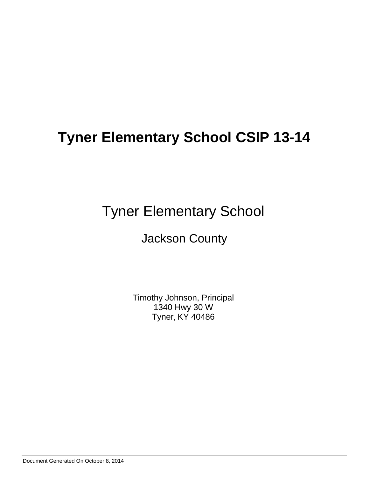# Tyner Elementary School

# Jackson County

Timothy Johnson, Principal 1340 Hwy 30 W Tyner, KY 40486

Document Generated On October 8, 2014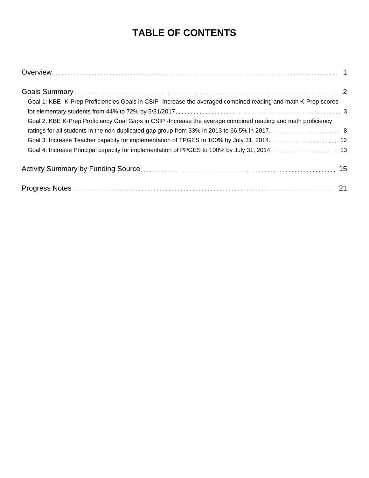# **TABLE OF CONTENTS**

| Goal 1: KBE- K-Prep Proficiencies Goals in CSIP-Increase the averaged combined reading and math K-Prep scores |  |
|---------------------------------------------------------------------------------------------------------------|--|
|                                                                                                               |  |
| Goal 2: KBE K-Prep Proficiency Goal Gaps in CSIP -Increase the average combined reading and math proficiency  |  |
|                                                                                                               |  |
|                                                                                                               |  |
|                                                                                                               |  |
|                                                                                                               |  |
|                                                                                                               |  |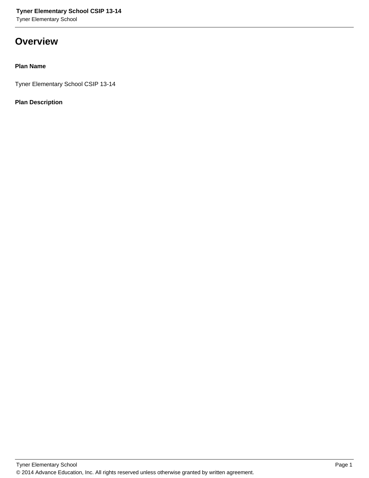# **Overview**

### **Plan Name**

Tyner Elementary School CSIP 13-14

### **Plan Description**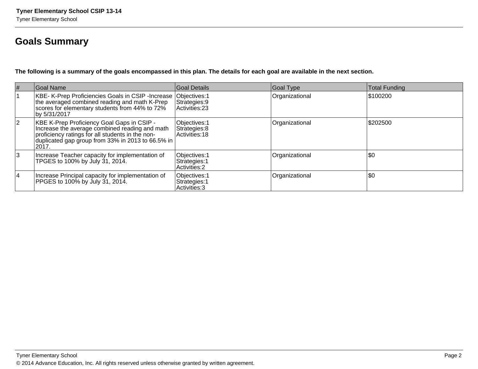# **Goals Summary**

**The following is a summary of the goals encompassed in this plan. The details for each goal are available in the next section.**

| $\vert \#$  | Goal Name                                                                                                                                                                                                       | Goal Details                                           | Goal Type      | <b>Total Funding</b> |
|-------------|-----------------------------------------------------------------------------------------------------------------------------------------------------------------------------------------------------------------|--------------------------------------------------------|----------------|----------------------|
|             | KBE- K-Prep Proficiencies Goals in CSIP -Increase  Objectives: 1<br>the averaged combined reading and math K-Prep<br>scores for elementary students from 44% to 72%<br>by 5/31/2017                             | Strategies: 9<br>Activities: 23                        | Organizational | \$100200             |
| $ 2\rangle$ | KBE K-Prep Proficiency Goal Gaps in CSIP -<br>Increase the average combined reading and math<br>proficiency ratings for all students in the non-<br>duplicated gap group from 33% in 2013 to 66.5% in<br> 2017. | Objectives: 1<br>Strategies: 8<br>Activities: 18       | Organizational | \$202500             |
| 3           | Increase Teacher capacity for implementation of<br>TPGES to 100% by July 31, 2014.                                                                                                                              | Objectives: 1<br>Strategies: 1<br><b>Activities: 2</b> | Organizational | \$0                  |
| <b>4</b>    | Increase Principal capacity for implementation of<br>PPGES to 100% by July 31, 2014.                                                                                                                            | Objectives: 1<br>Strategies: 1<br>Activities: 3        | Organizational | \$0                  |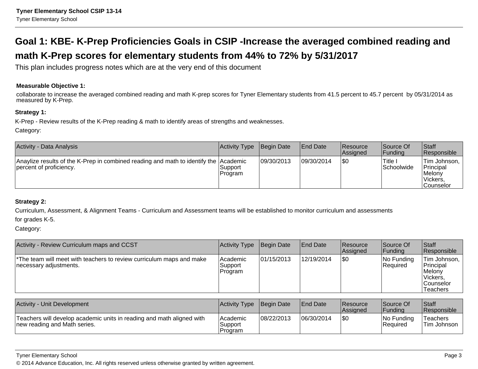# **Goal 1: KBE- K-Prep Proficiencies Goals in CSIP -Increase the averaged combined reading andmath K-Prep scores for elementary students from 44% to 72% by 5/31/2017**

This plan includes progress notes which are at the very end of this document

#### **Measurable Objective 1:**

collaborate to increase the averaged combined reading and math K-prep scores for Tyner Elementary students from 41.5 percent to 45.7 percent by 05/31/2014 as measured by K-Prep.

#### **Strategy 1:**

K-Prep - Review results of the K-Prep reading & math to identify areas of strengths and weaknesses.

Category:

| <b>Activity - Data Analysis</b>                                                                                 | Activity Type       | Begin Date | <b>End Date</b> | <b>Resource</b><br><b>Assigned</b> | Source Of<br> Funding    | <b>Staff</b><br>Responsible                                           |
|-----------------------------------------------------------------------------------------------------------------|---------------------|------------|-----------------|------------------------------------|--------------------------|-----------------------------------------------------------------------|
| Anaylize results of the K-Prep in combined reading and math to identify the Academic<br>percent of proficiency. | Support<br> Program | 09/30/2013 | 09/30/2014      | \$0                                | 'Title ∟<br> Schoolwide_ | Tim Johnson,<br><b>Principal</b><br>∣Melonv<br>Vickers,<br> Counselor |

#### **Strategy 2:**

Curriculum, Assessment, & Alignment Teams - Curriculum and Assessment teams will be established to monitor curriculum and assessmentsfor grades K-5.

Category:

| Activity - Review Curriculum maps and CCST                                                                 | Activity Type                    | Begin Date | <b>End Date</b> | <b>Resource</b><br>Assigned | Source Of<br> Funding  | <b>Staff</b><br>Responsible                                                         |
|------------------------------------------------------------------------------------------------------------|----------------------------------|------------|-----------------|-----------------------------|------------------------|-------------------------------------------------------------------------------------|
| <sup>*</sup> The team will meet with teachers to review curriculum maps and make<br>necessary adjustments. | lAcademic<br>'Support<br>Program | 01/15/2013 | 12/19/2014      | \$0                         | No Funding<br>Required | Tim Johnson,  <br>Principal<br>Melony<br>lVickers.<br><b>Counselor</b><br>'Teachers |

| Activity - Unit Development                                                                           | Activity Type                   | Begin Date | <b>IEnd Date</b> | <b>IResource</b><br><b>Assigned</b> | Source Of<br> Fundina   | <b>Staff</b><br><b>Responsible</b> |
|-------------------------------------------------------------------------------------------------------|---------------------------------|------------|------------------|-------------------------------------|-------------------------|------------------------------------|
| Teachers will develop academic units in reading and math aligned with<br>new reading and Math series. | IAcademic<br>Support<br>Program | 08/22/2013 | 06/30/2014       | \$0                                 | INo Fundina<br>Reauired | Teachers<br>'Tim Johnson           |

Tyner Elementary School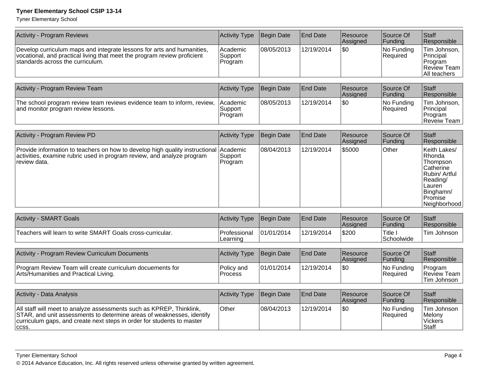Tyner Elementary School

| <b>Activity - Program Reviews</b>                                                                                                                                                                                                | <b>Activity Type</b>           | Begin Date | <b>End Date</b> | Resource<br>Assigned | Source Of<br>Funding   | <b>Staff</b><br>Responsible                                                                                                    |
|----------------------------------------------------------------------------------------------------------------------------------------------------------------------------------------------------------------------------------|--------------------------------|------------|-----------------|----------------------|------------------------|--------------------------------------------------------------------------------------------------------------------------------|
| Develop curriculum maps and integrate lessons for arts and humanities,<br>vocational, and practical living that meet the program review proficient<br>standards across the curriculum.                                           | Academic<br>Support<br>Program | 08/05/2013 | 12/19/2014      | \$0                  | No Funding<br>Required | Tim Johnson,<br>Principal<br>Program<br>Review Team<br>All teachers                                                            |
|                                                                                                                                                                                                                                  |                                |            |                 |                      |                        |                                                                                                                                |
| Activity - Program Review Team                                                                                                                                                                                                   | <b>Activity Type</b>           | Begin Date | <b>End Date</b> | Resource<br>Assigned | Source Of<br>Funding   | Staff<br>Responsible                                                                                                           |
| The school program review team reviews evidence team to inform, review,<br>and monitor program review lessons.                                                                                                                   | Academic<br>Support<br>Program | 08/05/2013 | 12/19/2014      | l\$0                 | No Funding<br>Required | Tim Johnson,<br>Principal<br>Program<br>Reveiw Team                                                                            |
|                                                                                                                                                                                                                                  |                                |            |                 |                      |                        |                                                                                                                                |
| Activity - Program Review PD                                                                                                                                                                                                     | Activity Type                  | Begin Date | <b>End Date</b> | Resource<br>Assigned | Source Of<br>Funding   | Staff<br>Responsible                                                                                                           |
| Provide information to teachers on how to develop high quality instructional Academic<br>activities, examine rubric used in program review, and analyze program<br>review data.                                                  | Support<br>Program             | 08/04/2013 | 12/19/2014      | \$5000               | Other                  | Keith Lakes/<br>Rhonda<br>Thompson<br>Catherine<br>Rubin/ Artful<br>Reading/<br>Lauren<br>Binghamn/<br>Promise<br>Neighborhood |
| <b>Activity - SMART Goals</b>                                                                                                                                                                                                    | <b>Activity Type</b>           | Begin Date | <b>End Date</b> | Resource<br>Assigned | Source Of<br>Funding   | Staff<br>Responsible                                                                                                           |
| Teachers will learn to write SMART Goals cross-curricular.                                                                                                                                                                       | Professional<br>Learning       | 01/01/2014 | 12/19/2014      | \$200                | Title I<br>Schoolwide  | Tim Johnson                                                                                                                    |
|                                                                                                                                                                                                                                  |                                |            | <b>End Date</b> | Resource             | Source Of              | <b>Staff</b>                                                                                                                   |
| Activity - Program Review Curriculum Documents                                                                                                                                                                                   | <b>Activity Type</b>           | Begin Date |                 | Assigned             | Funding                | Responsible                                                                                                                    |
| Program Review Team will create curriculum docuements for<br>Arts/Humanities and Practical Living.                                                                                                                               | Policy and<br>Process          | 01/01/2014 | 12/19/2014      | l\$0                 | No Funding<br>Required | Program<br>Review Team<br>Tim Johnson                                                                                          |
| <b>Activity - Data Analysis</b>                                                                                                                                                                                                  | <b>Activity Type</b>           | Begin Date | <b>End Date</b> | Resource             | Source Of              | <b>Staff</b>                                                                                                                   |
|                                                                                                                                                                                                                                  |                                |            |                 | Assigned             | Funding                | Responsible                                                                                                                    |
| All staff will meet to analyze assessments such as KPREP, Thinklink,<br>STAR, and unit assessments to determine areas of weaknesses, identify<br>curriculum gaps, and create next steps in order for students to master<br>CCSS. | Other                          | 08/04/2013 | 12/19/2014      | \$0                  | No Funding<br>Required | Tim Johnson<br>Melony<br>Vickers<br>Staff                                                                                      |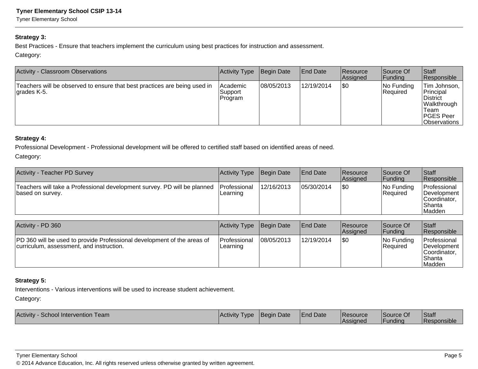Tyner Elementary School

#### **Strategy 3:**

Best Practices - Ensure that teachers implement the curriculum using best practices for instruction and assessment.Category:

| Activity - Classroom Observations                                                         | Activity Type                    | Begin Date | <b>End Date</b> | <b>Resource</b><br>Assigned | Source Of<br> Funding   | Staff<br>Responsible                                                                                  |
|-------------------------------------------------------------------------------------------|----------------------------------|------------|-----------------|-----------------------------|-------------------------|-------------------------------------------------------------------------------------------------------|
| Teachers will be observed to ensure that best practices are being used in<br>∣grades K-5. | Academic<br> Support <br>Program | 08/05/2013 | 12/19/2014      | 1\$0                        | No Funding<br> Reauired | Tim Johnson,  <br>Principal<br><b>District</b><br>Walkthrough<br>Team<br>PGES Peer<br> Observations ' |

#### **Strategy 4:**

Professional Development - Professional development will be offered to certified staff based on identified areas of need.

Category:

| Activity - Teacher PD Survey                                                                 | Activity Type                    | Begin Date | <b>End Date</b> | <b>Resource</b><br>Assigned | Source Of<br> Funding   | Staff<br>Responsible                                                 |
|----------------------------------------------------------------------------------------------|----------------------------------|------------|-----------------|-----------------------------|-------------------------|----------------------------------------------------------------------|
| Teachers will take a Professional development survey. PD will be planned<br>based on survey. | <b>IProfessional</b><br>Learning | 12/16/2013 | 05/30/2014      | 1\$0                        | No Funding<br> Reauired | Professional<br>Development I<br>lCoordinator.<br>lShanta<br> Madden |

| Activity - PD 360                                                                                                   | Activity Type            | Begin Date | <b>End Date</b> | <b>Resource</b><br>Assigned | Source Of<br><b>Funding</b> | <b>Staff</b><br>Responsible                                        |
|---------------------------------------------------------------------------------------------------------------------|--------------------------|------------|-----------------|-----------------------------|-----------------------------|--------------------------------------------------------------------|
| PD 360 will be used to provide Professional development of the areas of<br>curriculum, assessment, and instruction. | Professional<br>Learning | 08/05/2013 | 12/19/2014      | \$0                         | No Funding<br>Required      | Professional<br>Development<br>ICoordinator.<br>l Shanta<br>Madden |

#### **Strategy 5:**

Interventions - Various interventions will be used to increase student achievement.

Category:

| Activity<br><b>Team</b><br>School Intervention | Activity Type | <b>Begin Date</b> | <b>End Date</b> | <b>Resource</b><br><b>Assigned</b> | Source Of<br> Funding | Staff<br>Responsible |
|------------------------------------------------|---------------|-------------------|-----------------|------------------------------------|-----------------------|----------------------|
|------------------------------------------------|---------------|-------------------|-----------------|------------------------------------|-----------------------|----------------------|

Tyner Elementary School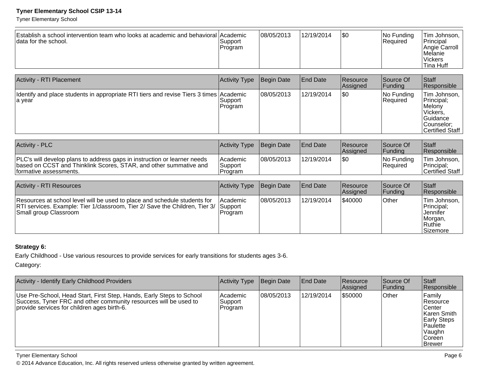Tyner Elementary School

| Establish a school intervention team who looks at academic and behavioral Academic<br>data for the school.                                                                        | Support<br>Program              | 08/05/2013 | 12/19/2014      | l\$0                 | No Funding<br>Required | Tim Johnson.<br>Principal<br>Angie Carroll<br>Melanie<br><b>Vickers</b><br><b>Tina Huff</b>          |
|-----------------------------------------------------------------------------------------------------------------------------------------------------------------------------------|---------------------------------|------------|-----------------|----------------------|------------------------|------------------------------------------------------------------------------------------------------|
| <b>Activity - RTI Placement</b>                                                                                                                                                   | Activity Type                   | Begin Date | <b>End Date</b> | Resource             | Source Of              | Staff                                                                                                |
|                                                                                                                                                                                   |                                 |            |                 | Assigned             | Funding                | Responsible                                                                                          |
| Identify and place students in appropriate RTI tiers and revise Tiers 3 times Academic<br>a year                                                                                  | Support<br>Program              | 08/05/2013 | 12/19/2014      | l\$0                 | No Funding<br>Required | Tim Johnson,<br>Principal;<br>Melony<br>Vickers.<br>Guidance<br>Counselor:<br><b>Certified Staff</b> |
| <b>Activity - PLC</b>                                                                                                                                                             | <b>Activity Type</b>            | Begin Date | <b>End Date</b> | Resource<br>Assigned | Source Of<br>Funding   | Staff<br>Responsible                                                                                 |
| PLC's will develop plans to address gaps in instruction or learner needs<br>based on CCST and Thinklink Scores, STAR, and other summative and<br>formative assessments.           | Academic<br>Support<br> Program | 08/05/2013 | 12/19/2014      | l\$0                 | No Funding<br>Required | Tim Johnson,<br>Principal;<br><b>Certified Staff</b>                                                 |
|                                                                                                                                                                                   |                                 |            |                 |                      |                        |                                                                                                      |
| <b>Activity - RTI Resources</b>                                                                                                                                                   | Activity Type                   | Begin Date | <b>End Date</b> | Resource<br>Assigned | Source Of<br>Funding   | Staff<br>Responsible                                                                                 |
| Resources at school level will be used to place and schedule students for<br>RTI services. Example: Tier 1/classroom, Tier 2/ Save the Children, Tier 3/<br>Small group Classroom | Academic<br>Support<br>Program  | 08/05/2013 | 12/19/2014      | 540000               | Other                  | Tim Johnson,<br>Principal;<br>Jennifer<br>Morgan,<br>Ruthie<br>Sizemore                              |

### **Strategy 6:**

Early Childhood - Use various resources to provide services for early transitions for students ages 3-6.

Category:

| Activity - Identify Early Childhood Providers                                                                                                                                           | Activity Type                  | Begin Date | <b>End Date</b> | <b>Resource</b><br>Assigned | Source Of<br> Funding | <b>Staff</b><br>Responsible                                                                                                  |
|-----------------------------------------------------------------------------------------------------------------------------------------------------------------------------------------|--------------------------------|------------|-----------------|-----------------------------|-----------------------|------------------------------------------------------------------------------------------------------------------------------|
| Use Pre-School, Head Start, First Step, Hands, Early Steps to School<br>Success, Tyner FRC and other community resources will be used to<br>provide services for children ages birth-6. | Academic<br>Support<br>Program | 08/05/2013 | 12/19/2014      | \$50000                     | Other                 | Family<br><b>Resource</b><br>∣Center<br>Karen Smith<br><b>Early Steps</b><br>Paulette<br> Vaughn<br><b>Coreen</b><br>∣Brewer |

Tyner Elementary School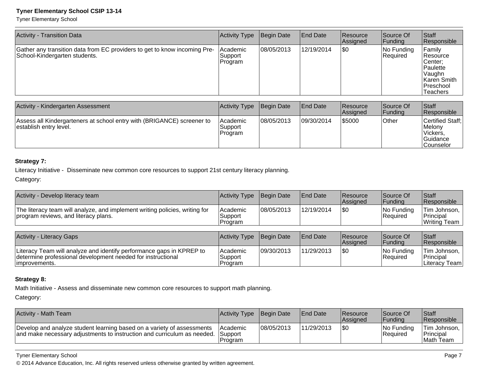Tyner Elementary School

| Activity - Transition Data                                                                                 | Activity Type                  | Begin Date | <b>End Date</b> | <b>Resource</b><br>Assigned | Source Of<br> Funding  | <b>Staff</b><br>Responsible                                                                    |
|------------------------------------------------------------------------------------------------------------|--------------------------------|------------|-----------------|-----------------------------|------------------------|------------------------------------------------------------------------------------------------|
| Gather any transition data from EC providers to get to know incoming Pre-<br>School-Kindergarten students. | Academic<br>Support<br>Program | 08/05/2013 | 12/19/2014      | \$0                         | No Funding<br>Required | Family<br>Resource<br> Center;<br> Paulette<br>Vaughn<br>Karen Smith<br> Preschool<br>Teachers |

| Activity - Kindergarten Assessment                                                               | Activity Type                         | Begin Date  | <b>End Date</b> | <b>Resource</b><br><b>Assigned</b> | Source Of<br> Funding | <b>Staff</b><br>Responsible                                              |
|--------------------------------------------------------------------------------------------------|---------------------------------------|-------------|-----------------|------------------------------------|-----------------------|--------------------------------------------------------------------------|
| Assess all Kindergarteners at school entry with (BRIGANCE) screener to<br>establish entry level. | <b>Academic</b><br>Support<br>Program | 108/05/2013 | 09/30/2014      | \$5000                             | ∣Other                | Certified Staff;<br><b>Melony</b><br>Vickers,<br> Guidance<br>lCounselor |

#### **Strategy 7:**

Literacy Initiative - Disseminate new common core resources to support 21st century literacy planning.

Category:

| Activity - Develop literacy team                                                                                                                     | Activity Type                  | Begin Date  | <b>End Date</b> | Resource<br>Assigned        | Source Of<br> Funding  | Staff<br>Responsible                        |
|------------------------------------------------------------------------------------------------------------------------------------------------------|--------------------------------|-------------|-----------------|-----------------------------|------------------------|---------------------------------------------|
| The literacy team will analyze, and implement writing policies, writing for<br>program reviews, and literacy plans.                                  | Academic<br>Support<br>Program | 108/05/2013 | 12/19/2014      | \$0                         | No Funding<br>Required | Tim Johnson,<br>Principal<br>Writing Team   |
|                                                                                                                                                      |                                |             |                 |                             |                        |                                             |
| Activity - Literacy Gaps                                                                                                                             | Activity Type                  | Begin Date  | <b>End Date</b> | <b>Resource</b><br>Assigned | Source Of<br> Funding  | Staff<br>Responsible                        |
| Literacy Team will analyze and identify performance gaps in KPREP to<br>determine professional development needed for instructional<br>improvements. | Academic<br>Support<br>Program | 09/30/2013  | 11/29/2013      | \$0                         | No Funding<br>Required | Tim Johnson.<br>Principal<br>Literacv Teaml |

#### **Strategy 8:**

Math Initiative - Assess and disseminate new common core resources to support math planning.

Category:

| <b>Activity - Math Team</b>                                                                                                                               | <b>Activity Type Begin Date</b> |            | <b>IEnd Date</b> | Resource<br><b>Assigned</b> | Source Of<br>lFundina          | <b>Staff</b><br><b>Responsible</b>              |
|-----------------------------------------------------------------------------------------------------------------------------------------------------------|---------------------------------|------------|------------------|-----------------------------|--------------------------------|-------------------------------------------------|
| Develop and analyze student learning based on a variety of assessments<br>and make necessary adjustments to instruction and curriculum as needed. Support | <b>IAcademic</b><br>IProgram    | 08/05/2013 | 11/29/2013       | I\$0                        | INo Fundina<br><b>Required</b> | Tim Johnson, I<br><b>Principal</b><br>Math Team |

Tyner Elementary School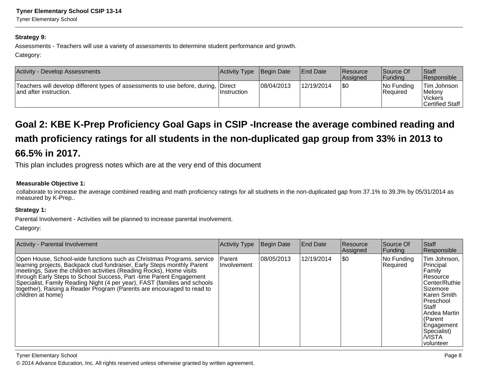#### **Strategy 9:**

Assessments - Teachers will use a variety of assessments to determine student performance and growth.Category:

| Activity - Develop Assessments                                                                               | Activity Type Begin Date |            | <b>IEnd Date</b> | <b>Resource</b><br><b>Assigned</b> | Source Of<br> Fundina      | Staff<br><b>Responsible</b>                                |
|--------------------------------------------------------------------------------------------------------------|--------------------------|------------|------------------|------------------------------------|----------------------------|------------------------------------------------------------|
| Teachers will develop different types of assessments to use before, during, Direct<br>and after instruction. | ∣Instruction             | 08/04/2013 | 12/19/2014       | 1\$0                               | $ No$ Funding<br> Reauired | Tim Johnson<br>Melonv<br><b>Vickers</b><br>Certified Staff |

# **Goal 2: KBE K-Prep Proficiency Goal Gaps in CSIP -Increase the average combined reading andmath proficiency ratings for all students in the non-duplicated gap group from 33% in 2013 to66.5% in 2017.**

This plan includes progress notes which are at the very end of this document

#### **Measurable Objective 1:**

collaborate to increase the average combined reading and math proficiency ratings for all studnets in the non-duplicated gap from 37.1% to 39.3% by 05/31/2014 asmeasured by K-Prep..

#### **Strategy 1:**

Parental Involvement - Activities will be planned to increase parental involvement.

Category:

| <b>Activity - Parental Involvement</b>                                                                                                                                                                                                                                                                                                                                                                                                                                      | <b>Activity Type</b>  | Begin Date | <b>End Date</b> | Resource<br>Assigned | Source Of<br><b>Funding</b> | Staff<br>Responsible                                                                                                                                                                                           |
|-----------------------------------------------------------------------------------------------------------------------------------------------------------------------------------------------------------------------------------------------------------------------------------------------------------------------------------------------------------------------------------------------------------------------------------------------------------------------------|-----------------------|------------|-----------------|----------------------|-----------------------------|----------------------------------------------------------------------------------------------------------------------------------------------------------------------------------------------------------------|
| Open House, School-wide functions such as Christmas Programs. service<br>learning projects, Backpack clud fundraiser, Early Steps monthly Parent<br>meetings, Save the children activities (Reading Rocks), Home visits<br>through Early Steps to School Success, Part -time Parent Engagement<br>Specialist, Family Reading Night (4 per year), FAST (families and schools<br>together), Raising a Reader Program (Parents are encouraged to read to<br>Ichildren at home) | Parent<br>Involvement | 08/05/2013 | 12/19/2014      | I\$0                 | No Funding<br>Required      | Tim Johnson,<br>Principal<br> Family<br>Resource<br>Center/Ruthie<br>Sizemore<br>∣Karen Smith<br><b>Preschool</b><br> Staff<br>l Andea Martin<br>(Parent<br>Engagement<br>Specialist)<br>I/VISTA<br>∣volunteer |

Tyner Elementary School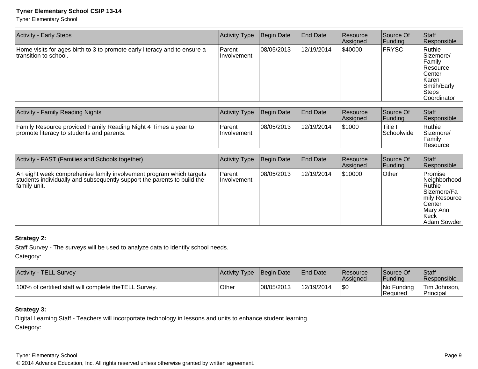Tyner Elementary School

| <b>Activity - Early Steps</b>                                                                      | <b>Activity Type</b>          | Begin Date | End Date   | <b>Resource</b><br>Assigned | Source Of<br> Funding | Staff<br>Responsible                                                                                                |
|----------------------------------------------------------------------------------------------------|-------------------------------|------------|------------|-----------------------------|-----------------------|---------------------------------------------------------------------------------------------------------------------|
| Home visits for ages birth to 3 to promote early literacy and to ensure a<br>transition to school. | Parent<br><b>Ilnvolvement</b> | 08/05/2013 | 12/19/2014 | \$40000                     | <b>FRYSC</b>          | Ruthie<br>Sizemore/<br>Family<br><b>Resource</b><br><b>Center</b><br> Karen <br>Smtih/Early<br>Steps<br>Coordinator |

| Activity - Family Reading Nights                                                                              | Activity Type Begin Date |            | <b>IEnd Date</b> | <b>IResource</b><br>lAssianed | Source Of<br> Fundina        | <b>Staff</b><br>Responsible                      |
|---------------------------------------------------------------------------------------------------------------|--------------------------|------------|------------------|-------------------------------|------------------------------|--------------------------------------------------|
| Family Resource provided Family Reading Night 4 Times a year to<br>Ipromote literacy to students and parents. | Parent<br>Ilnvolvement   | 08/05/2013 | 12/19/2014       | \$1000                        | 'Title.<br><b>Schoolwide</b> | Ruthie<br>Sizemore/<br>Family<br><b>Resource</b> |

| Activity - FAST (Families and Schools together)                                                                                                                | Activity Type           | Begin Date | <b>End Date</b> | <b>Resource</b><br>Assigned | Source Of<br> Funding | Staff<br>Responsible                                                                                                        |
|----------------------------------------------------------------------------------------------------------------------------------------------------------------|-------------------------|------------|-----------------|-----------------------------|-----------------------|-----------------------------------------------------------------------------------------------------------------------------|
| An eight week comprehenive family involvement program which targets<br>students individually and subsequently support the parents to build the<br>family unit. | Parent<br>I Involvement | 08/05/2013 | 12/19/2014      | \$10000                     | <b>Other</b>          | lPromise<br>Neighborhood<br> Ruthie<br>lSizemore/Fa<br>mily Resource<br><b>Center</b><br>lMarv Ann<br> Keck<br> Adam Sowder |

### **Strategy 2:**

Staff Survey - The surveys will be used to analyze data to identify school needs.

Category:

| <b>Activity - TELL Survey</b>                          | Activity Type Begin Date |            | <b>End Date</b> | <b>Resource</b><br><b>Assigned</b> | Source Of<br><b>Funding</b> | <sup>'</sup> Staff<br><b>Responsible</b> |
|--------------------------------------------------------|--------------------------|------------|-----------------|------------------------------------|-----------------------------|------------------------------------------|
| 100% of certified staff will complete the TELL Survey. | Other                    | 08/05/2013 | 12/19/2014      | \$0                                | No Funding<br>l Reauired    | <sup>1</sup> Tim Johnson, 1<br>Principal |

### **Strategy 3:**

Digital Learning Staff - Teachers will incorportate technology in lessons and units to enhance student learning.Category:

#### Tyner Elementary School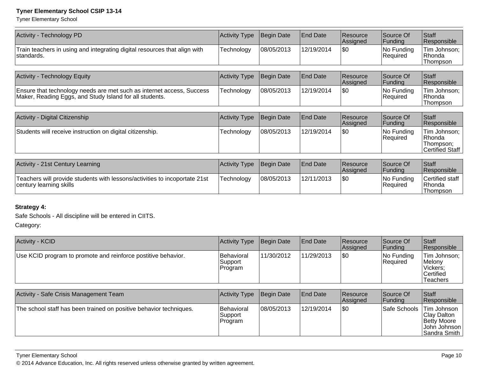Tyner Elementary School

| <b>Activity Type</b> | Begin Date | <b>End Date</b> | Resource<br>Assigned | Source Of<br> Funding  | Staff<br>Responsible                                          |
|----------------------|------------|-----------------|----------------------|------------------------|---------------------------------------------------------------|
| Technology           | 08/05/2013 | 12/19/2014      | l\$0                 | No Funding<br>Required | Tim Johnson;<br>Rhonda<br>Thompson                            |
| Activity Type        | Begin Date | <b>End Date</b> | Resource<br>Assigned | Source Of<br> Funding  | Staff<br>Responsible                                          |
| Technology           | 08/05/2013 | 12/19/2014      | \$0                  | No Funding<br>Required | Tim Johnson;<br>Rhonda<br>Thompson                            |
|                      |            |                 |                      |                        |                                                               |
| Activity Type        | Begin Date | <b>End Date</b> | Resource<br>Assigned | Source Of<br> Funding  | <b>S</b> taff<br>Responsible                                  |
| Technology           | 08/05/2013 | 12/19/2014      | \$0                  | No Funding<br>Required | Tim Johnson;<br>Rhonda<br>Thompson;<br><b>Certified Staff</b> |
|                      |            |                 |                      |                        |                                                               |

| Activity - 21st Century Learning                                                                      | Activity Type | Begin Date | <b>End Date</b> | <b>IResource</b><br><b>Assigned</b> | lSource Of<br> Fundina   | <b>Staff</b><br><b>Responsible</b>      |
|-------------------------------------------------------------------------------------------------------|---------------|------------|-----------------|-------------------------------------|--------------------------|-----------------------------------------|
| Teachers will provide students with lessons/activities to incoportate 21st<br>century learning skills | Technology    | 08/05/2013 | 112/11/2013     | I\$0                                | INo Fundina<br>'Required | Certified staff<br> Rhonda<br>lThompson |

### **Strategy 4:**

Safe Schools - All discipline will be entered in CIITS.

Category:

| Activity - KCID                                               | Activity Type                    | Begin Date | <b>End Date</b> | Resource<br><b>Assigned</b> | Source Of<br>Funding       | <b>Staff</b><br>Responsible                                              |
|---------------------------------------------------------------|----------------------------------|------------|-----------------|-----------------------------|----------------------------|--------------------------------------------------------------------------|
| Use KCID program to promote and reinforce postitive behavior. | Behavioral<br>Support<br>Program | 11/30/2012 | 11/29/2013      | 1\$0                        | $ No$ Funding<br> Reauired | Tim Johnson;<br>Melony<br><b>Vickers</b><br><b>Certified</b><br>Teachers |

| Activity - Safe Crisis Management Team                             | <b>Activity Type</b>             | Begin Date | <b>End Date</b> | <b>Resource</b><br>Assigned | Source Of<br> Funding | <b>Staff</b><br>Responsible                                                         |
|--------------------------------------------------------------------|----------------------------------|------------|-----------------|-----------------------------|-----------------------|-------------------------------------------------------------------------------------|
| The school staff has been trained on positive behavior techniques. | Behavioral<br>Support<br>Program | 08/05/2013 | 12/19/2014      | \$0                         | Safe Schools          | Tim Johnson<br><b>Clay Dalton</b><br>Betty Moore<br> John Johnson  <br>Sandra Smith |

Tyner Elementary School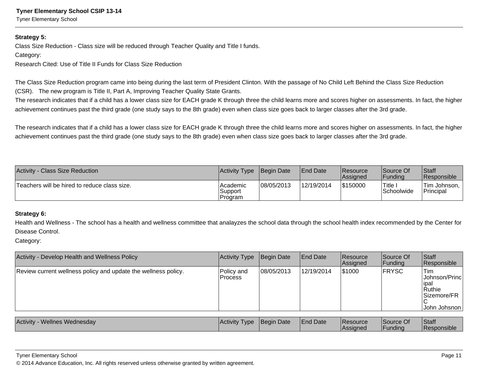Tyner Elementary School

#### **Strategy 5:**

Class Size Reduction - Class size will be reduced through Teacher Quality and Title I funds.

#### Category:

Research Cited: Use of Title II Funds for Class Size Reduction

The Class Size Reduction program came into being during the last term of President Clinton. With the passage of No Child Left Behind the Class Size Reduction

(CSR). The new program is Title II, Part A, Improving Teacher Quality State Grants.

The research indicates that if a child has a lower class size for EACH grade K through three the child learns more and scores higher on assessments. In fact, the higher achievement continues past the third grade (one study says to the 8th grade) even when class size goes back to larger classes after the 3rd grade.

The research indicates that if a child has a lower class size for EACH grade K through three the child learns more and scores higher on assessments. In fact, the higher achievement continues past the third grade (one study says to the 8th grade) even when class size goes back to larger classes after the 3rd grade.

| Activity - Class Size Reduction              | Activity Type Begin Date           |            | <b>IEnd Date</b> | Resource<br><b>Assigned</b> | Source Of<br> Fundina         | <b>Staff</b><br><b>Responsible</b>     |
|----------------------------------------------|------------------------------------|------------|------------------|-----------------------------|-------------------------------|----------------------------------------|
| Teachers will be hired to reduce class size. | l Academic<br>Support<br>l Program | 08/05/2013 | 12/19/2014       | \$150000                    | 'Title ∶<br><b>Schoolwide</b> | <sup>1</sup> Tim Johnson,<br>Principal |

#### **Strategy 6:**

Health and Wellness - The school has a health and wellness committee that analayzes the school data through the school health index recommended by the Center forDisease Control.

Category:

| Activity - Develop Health and Wellness Policy                  | <b>Activity Type</b>    | Begin Date | <b>End Date</b> | Resource<br>Assigned | Source Of<br> Funding | Staff<br>Responsible                                                            |
|----------------------------------------------------------------|-------------------------|------------|-----------------|----------------------|-----------------------|---------------------------------------------------------------------------------|
| Review current wellness policy and update the wellness policy. | Policy and<br>l Process | 08/05/2013 | 12/19/2014      | 1\$1000              | FRYSC                 | <b>Tim</b><br>Johnson/Princl<br>∣ipal<br>Ruthie<br> Sizemore/FR<br>John Johsnon |
| <b>Activity - Wellnes Wednesday</b>                            | Activity Type           | Begin Date | <b>End Date</b> | Resource<br>Assigned | Source Of<br> Funding | Staff<br>Responsible                                                            |

Tyner Elementary School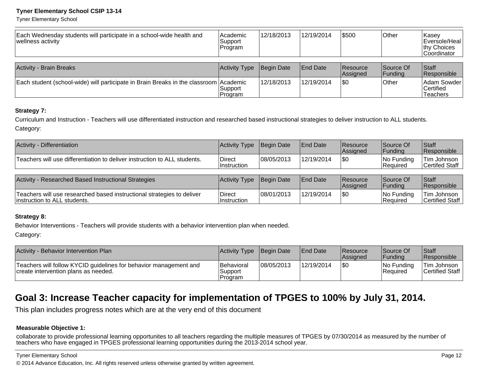Tyner Elementary School

| Each Wednesday students will participate in a school-wide health and<br> wellness activity | Academic<br>Support<br>Program | 12/18/2013 | 12/19/2014      | \$500                       | <b>Other</b>          | Kasey<br>Eversole/Heal<br>thy Choices<br> Coordinator |
|--------------------------------------------------------------------------------------------|--------------------------------|------------|-----------------|-----------------------------|-----------------------|-------------------------------------------------------|
| Activity - Brain Breaks                                                                    | Activity Type                  | Begin Date | <b>End Date</b> | <b>Resource</b><br>Assigned | Source Of<br> Funding | Staff<br>Responsible                                  |
| Each student (school-wide) will participate in Brain Breaks in the classroom Academic      | Support<br>Program             | 12/18/2013 | 12/19/2014      | 1\$0                        | Other                 | Adam Sowder<br> Certified<br>Teachers                 |

#### **Strategy 7:**

Curriculum and Instruction - Teachers will use differentiated instruction and researched based instructional strategies to deliver instruction to ALL students.Category:

| Activity - Differentiation                                                                              | <b>Activity Type</b>         | Begin Date | <b>End Date</b>  | Resource<br>Assigned | Source Of<br><b>Funding</b>   | <b>Staff</b><br>Responsible    |
|---------------------------------------------------------------------------------------------------------|------------------------------|------------|------------------|----------------------|-------------------------------|--------------------------------|
| Teachers will use differentiation to deliver instruction to ALL students.                               | Direct<br><b>Instruction</b> | 08/05/2013 | 12/19/2014       | \$0                  | No Funding<br><b>Required</b> | Tim Johnson<br>Certifed Staff  |
|                                                                                                         |                              |            |                  |                      |                               |                                |
| Activity - Researched Based Instructional Strategies                                                    | Activity Type                | Begin Date | <b>IEnd Date</b> | Resource<br>Assigned | Source Of<br> Funding         | <b>Staff</b><br>Responsible    |
| Teachers will use researched based instructional strategies to deliver<br>linstruction to ALL students. | Direct<br>Instruction        | 08/01/2013 | 12/19/2014       | <b>\$0</b>           | No Funding<br><b>Required</b> | Tim Johnson<br>Certified Staff |

#### **Strategy 8:**

Behavior Interventions - Teachers will provide students with a behavior intervention plan when needed.

Category:

| Activity - Behavior Intervention Plan                                                                     | Activity Type Begin Date          |            | <b>End Date</b> | <b>Resource</b><br><b>Assigned</b> | Source Of<br><b>IFundina</b> | <b>Staff</b><br>Responsible           |
|-----------------------------------------------------------------------------------------------------------|-----------------------------------|------------|-----------------|------------------------------------|------------------------------|---------------------------------------|
| Teachers will follow KYCID guidelines for behavior management and<br>create intervention plans as needed. | Behavioral<br>Support<br> Program | 08/05/2013 | 12/19/2014      | \$0                                | $ No$ Funding<br>lReauired   | <b>Tim Johnson</b><br>Certified Staff |

# **Goal 3: Increase Teacher capacity for implementation of TPGES to 100% by July 31, 2014.**

This plan includes progress notes which are at the very end of this document

#### **Measurable Objective 1:**

collaborate to provide professional learning opportunites to all teachers regarding the multiple measures of TPGES by 07/30/2014 as measured by the number of teachers who have engaged in TPGES professional learning opportunities during the 2013-2014 school year.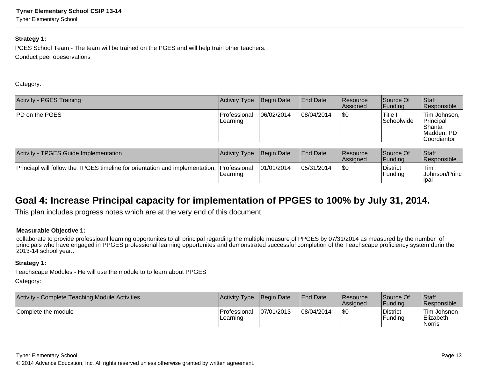Tyner Elementary School

#### **Strategy 1:**

PGES School Team - The team will be trained on the PGES and will help train other teachers.Conduct peer obeservations

Category:

| <b>Activity - PGES Training</b> | Activity Type            | Begin Date | <b>End Date</b> | <b>Resource</b><br>Assigned | Source Of<br> Funding            | Staff<br>Responsible                                                |
|---------------------------------|--------------------------|------------|-----------------|-----------------------------|----------------------------------|---------------------------------------------------------------------|
| <b>PD on the PGES</b>           | Professional<br>Learning | 06/02/2014 | 08/04/2014      | \$0                         | <sup>1</sup> Title<br>Schoolwide | Tim Johnson,<br>Principal<br> Shanta<br>IMadden, PD<br> Coordiantor |

| Activity - TPGES Guide Implementation                                                     | <b>Activity Type Begin Date</b> |             | <b>End Date</b> | Resource<br><b>Assigned</b> | <b>Source Of</b><br><b>Funding</b> | Staff<br>Responsible             |
|-------------------------------------------------------------------------------------------|---------------------------------|-------------|-----------------|-----------------------------|------------------------------------|----------------------------------|
| Princiapl will follow the TPGES timeline for orientation and implementation. Professional | Learning                        | 101/01/2014 | 05/31/2014      | \$0                         | District<br>Funding                | 'Tim<br> Johnson/Princ <br>lıpal |

# **Goal 4: Increase Principal capacity for implementation of PPGES to 100% by July 31, 2014.**

This plan includes progress notes which are at the very end of this document

#### **Measurable Objective 1:**

 collaborate to provide professioanl learning opportunites to all principal regarding the multiple measure of PPGES by 07/31/2014 as measured by the number of principals who have engaged in PPGES professional learning opportunites and demonstrated successful completion of the Teachscape proficiency system durin the2013-14 school year..

#### **Strategy 1:**

Teachscape Modules - He will use the module to to learn about PPGES

Category:

| Activity - Complete Teaching Module Activities | <b>Activity Type</b>        | Begin Date | <b>IEnd Date</b> | <b>Resource</b><br><b>Assigned</b> | Source Of<br> Funding | <b>Staff</b><br>Responsible                      |
|------------------------------------------------|-----------------------------|------------|------------------|------------------------------------|-----------------------|--------------------------------------------------|
| Complete the module                            | l Professional<br>ILearning | 07/01/2013 | 08/04/2014       | \$0                                | District<br>Funding   | Tim Johsnon<br>Elizabeth<br><i><b>Norris</b></i> |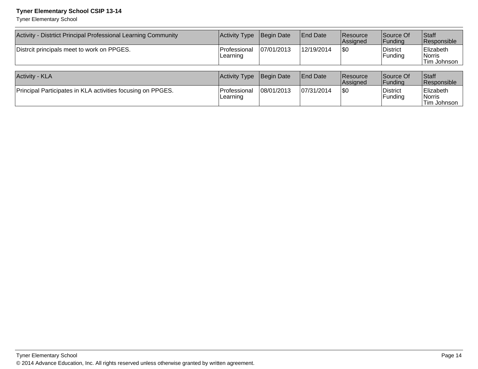Tyner Elementary School

| Activity - Distrtict Principal Professional Learning Community | <b>Activity Type</b>     | Begin Date  | <b>End Date</b> | <b>Resource</b><br>Assigned | Source Of<br> Funding | Staff<br>Responsible                      |
|----------------------------------------------------------------|--------------------------|-------------|-----------------|-----------------------------|-----------------------|-------------------------------------------|
| Distrcit principals meet to work on PPGES.                     | Professional<br>Learning | 107/01/2013 | 12/19/2014      | \$0                         | District<br>Funding   | Elizabeth<br><i>Norris</i><br>Tim Johnson |
| Activity - KLA                                                 | <b>Activity Type</b>     | Begin Date  | <b>End Date</b> | <b>Resource</b><br>Assigned | Source Of<br>Funding  | Staff<br>Responsible                      |
| Principal Participates in KLA activities focusing on PPGES.    | Professional<br>Learning | 108/01/2013 | 107/31/2014     | \$0                         | District<br>Funding   | Elizabeth<br>∣Norris<br>Tim Johnson       |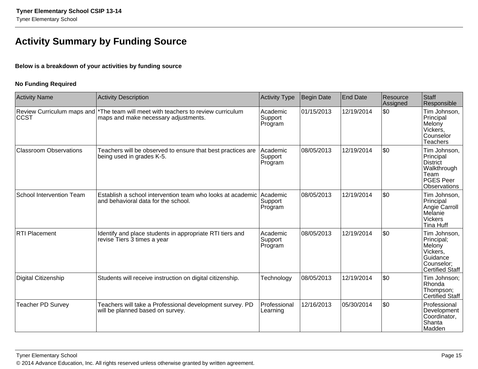# **Activity Summary by Funding Source**

#### **Below is a breakdown of your activities by funding source**

#### **No Funding Required**

| <b>Activity Name</b>          | <b>Activity Description</b>                                                                                                | <b>Activity Type</b>                  | Begin Date | <b>End Date</b> | Resource<br>Assigned | <b>Staff</b><br>Responsible                                                                                    |
|-------------------------------|----------------------------------------------------------------------------------------------------------------------------|---------------------------------------|------------|-----------------|----------------------|----------------------------------------------------------------------------------------------------------------|
| CCST                          | Review Curriculum maps and  *The team will meet with teachers to review curriculum<br>maps and make necessary adjustments. | Academic<br>Support<br>Program        | 01/15/2013 | 12/19/2014      | \$0                  | Tim Johnson,<br>Principal<br>Melony<br>Vickers,<br>Counselor<br><b>Teachers</b>                                |
| <b>Classroom Observations</b> | Teachers will be observed to ensure that best practices are<br>being used in grades K-5.                                   | <b>Academic</b><br>Support<br>Program | 08/05/2013 | 12/19/2014      | \$0                  | Tim Johnson,<br>Principal<br><b>District</b><br>Walkthrough<br>Team<br><b>PGES Peer</b><br><b>Observations</b> |
| School Intervention Team      | Establish a school intervention team who looks at academic Academic<br>and behavioral data for the school.                 | Support<br>Program                    | 08/05/2013 | 12/19/2014      | \$0                  | Tim Johnson,<br>Principal<br>Angie Carroll<br>Melanie<br><b>Vickers</b><br>Tina Huff                           |
| <b>RTI Placement</b>          | Identify and place students in appropriate RTI tiers and<br>revise Tiers 3 times a year                                    | Academic<br>Support<br>Program        | 08/05/2013 | 12/19/2014      | \$0                  | Tim Johnson,<br>Principal;<br>Melony<br>Vickers,<br>Guidance<br>Counselor:<br><b>Certified Staff</b>           |
| Digital Citizenship           | Students will receive instruction on digital citizenship.                                                                  | Technology                            | 08/05/2013 | 12/19/2014      | \$0                  | Tim Johnson;<br>Rhonda<br>Thompson;<br><b>Certified Staff</b>                                                  |
| <b>Teacher PD Survey</b>      | Teachers will take a Professional development survey. PD<br>will be planned based on survey.                               | Professional<br>Learning              | 12/16/2013 | 05/30/2014      | \$0                  | Professional<br>Development<br>Coordinator,<br>Shanta<br>Madden                                                |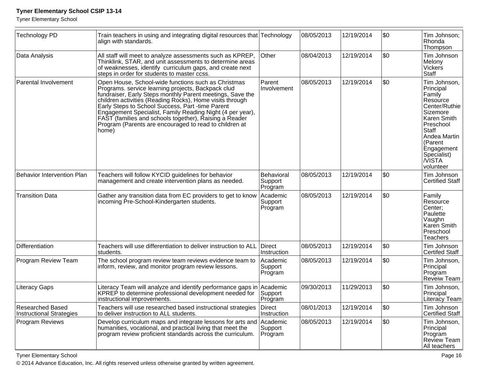Tyner Elementary School

| <b>Technology PD</b>                                       | Train teachers in using and integrating digital resources that Technology<br>align with standards.                                                                                                                                                                                                                                                                                                                                                                                                                                                                                                                     |                                | 08/05/2013 | 12/19/2014 | \$0                                   | Tim Johnson;<br>Rhonda<br>Thompson                                                                                                                                                                |
|------------------------------------------------------------|------------------------------------------------------------------------------------------------------------------------------------------------------------------------------------------------------------------------------------------------------------------------------------------------------------------------------------------------------------------------------------------------------------------------------------------------------------------------------------------------------------------------------------------------------------------------------------------------------------------------|--------------------------------|------------|------------|---------------------------------------|---------------------------------------------------------------------------------------------------------------------------------------------------------------------------------------------------|
| Data Analysis                                              | All staff will meet to analyze assessments such as KPREP,<br>Thinklink, STAR, and unit assessments to determine areas<br>of weaknesses, identify curriculum gaps, and create next<br>steps in order for students to master ccss.                                                                                                                                                                                                                                                                                                                                                                                       | Other                          | 08/04/2013 | 12/19/2014 | \$0                                   | Tim Johnson<br>Melony<br>Vickers<br>Staff                                                                                                                                                         |
| Parental Involvement                                       | Parent<br>Open House, School-wide functions such as Christmas<br>Programs. service learning projects, Backpack clud<br>Involvement<br>fundraiser, Early Steps monthly Parent meetings, Save the<br>children activities (Reading Rocks), Home visits through<br>Early Steps to School Success, Part -time Parent<br>Engagement Specialist, Family Reading Night (4 per year),<br>FAST (families and schools together), Raising a Reader<br>Program (Parents are encouraged to read to children at<br>home)<br>Teachers will follow KYCID guidelines for behavior<br>management and create intervention plans as needed. |                                | 08/05/2013 | 12/19/2014 | \$0                                   | Tim Johnson,<br>Principal<br>Family<br>Resource<br>Center/Ruthie<br>Sizemore<br>Karen Smith<br>Preschool<br>Staff<br>Andea Martin<br>(Parent<br>Engagement<br>Specialist)<br>∣/VISTA<br>volunteer |
| Behavior Intervention Plan                                 | Behavioral<br>Support<br>Program                                                                                                                                                                                                                                                                                                                                                                                                                                                                                                                                                                                       | 08/05/2013                     | 12/19/2014 | \$0        | Tim Johnson<br><b>Certified Staff</b> |                                                                                                                                                                                                   |
| <b>Transition Data</b>                                     | Gather any transition data from EC providers to get to know<br>incoming Pre-School-Kindergarten students.                                                                                                                                                                                                                                                                                                                                                                                                                                                                                                              |                                | 08/05/2013 | 12/19/2014 | \$0                                   | Family<br>Resource<br>Center;<br>Paulette<br>Vaughn<br>Karen Smith<br>Preschool<br><b>Teachers</b>                                                                                                |
| Differentiation                                            | Teachers will use differentiation to deliver instruction to ALL<br>students.                                                                                                                                                                                                                                                                                                                                                                                                                                                                                                                                           | Direct<br>Instruction          | 08/05/2013 | 12/19/2014 | \$0                                   | Tim Johnson<br>Certifed Staff                                                                                                                                                                     |
| Program Review Team                                        | The school program review team reviews evidence team to<br>inform, review, and monitor program review lessons.                                                                                                                                                                                                                                                                                                                                                                                                                                                                                                         | Academic<br>Support<br>Program | 08/05/2013 | 12/19/2014 | \$0                                   | Tim Johnson,<br>Principal<br>Program<br>Reveiw Team                                                                                                                                               |
| <b>Literacy Gaps</b>                                       | Literacy Team will analyze and identify performance gaps in<br>KPREP to determine professional development needed for<br>instructional improvements.                                                                                                                                                                                                                                                                                                                                                                                                                                                                   | Academic<br>Support<br>Program | 09/30/2013 | 11/29/2013 | \$0                                   | Tim Johnson,<br>Principal<br>Literacy Team                                                                                                                                                        |
| <b>Researched Based</b><br><b>Instructional Strategies</b> | Teachers will use researched based instructional strategies<br>to deliver instruction to ALL students.                                                                                                                                                                                                                                                                                                                                                                                                                                                                                                                 | Direct<br>Instruction          | 08/01/2013 | 12/19/2014 | \$0                                   | Tim Johnson<br>Certified Staff                                                                                                                                                                    |
| <b>Program Reviews</b>                                     | Develop curriculum maps and integrate lessons for arts and Academic<br>humanities, vocational, and practical living that meet the<br>program review proficient standards across the curriculum.                                                                                                                                                                                                                                                                                                                                                                                                                        | Support<br>Program             | 08/05/2013 | 12/19/2014 | \$0                                   | Tim Johnson,<br>Principal<br>Program<br>Review Team<br>All teachers                                                                                                                               |

Tyner Elementary School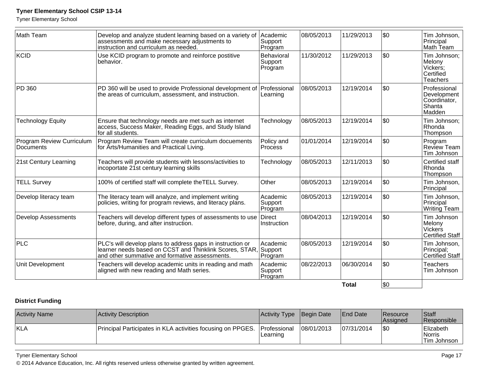Tyner Elementary School

| Math Team                              | Develop and analyze student learning based on a variety of<br>assessments and make necessary adjustments to<br>instruction and curriculum as needed                             | Academic<br>Support<br>Program   | 08/05/2013 | 11/29/2013   | \$0 | Tim Johnson,<br>Principal<br>Math Team                            |
|----------------------------------------|---------------------------------------------------------------------------------------------------------------------------------------------------------------------------------|----------------------------------|------------|--------------|-----|-------------------------------------------------------------------|
| KCID                                   | Use KCID program to promote and reinforce postitive<br>behavior.                                                                                                                | Behavioral<br>Support<br>Program | 11/30/2012 | 11/29/2013   | \$0 | Tim Johnson;<br>Melony<br>Vickers:<br>Certified<br>Teachers       |
| PD 360                                 | PD 360 will be used to provide Professional development of Professional<br>the areas of curriculum, assessment, and instruction.                                                | Learning                         | 08/05/2013 | 12/19/2014   | \$0 | Professional<br>Development<br>Coordinator,<br>Shanta<br>Madden   |
| <b>Technology Equity</b>               | Ensure that technology needs are met such as internet<br>access, Success Maker, Reading Eggs, and Study Island<br>for all students.                                             | Technology                       | 08/05/2013 | 12/19/2014   | \$0 | Tim Johnson;<br>Rhonda<br>Thompson                                |
| Program Review Curriculum<br>Documents | Program Review Team will create curriculum docuements<br>for Arts/Humanities and Practical Living.                                                                              | Policy and<br>Process            | 01/01/2014 | 12/19/2014   | \$0 | Program<br>Review Team<br>Tim Johnson                             |
| 21st Century Learning                  | Teachers will provide students with lessons/activities to<br>incoportate 21st century learning skills                                                                           | Technology                       | 08/05/2013 | 12/11/2013   | \$0 | Certified staff<br>Rhonda<br>Thompson                             |
| <b>TELL Survey</b>                     | 100% of certified staff will complete the TELL Survey.                                                                                                                          | Other                            | 08/05/2013 | 12/19/2014   | \$0 | Tim Johnson,<br>Principal                                         |
| Develop literacy team                  | The literacy team will analyze, and implement writing<br>policies, writing for program reviews, and literacy plans.                                                             | Academic<br>Support<br>Program   | 08/05/2013 | 12/19/2014   | \$0 | Tim Johnson,<br>Principal<br>Writing Team                         |
| <b>Develop Assessments</b>             | Teachers will develop different types of assessments to use<br>before, during, and after instruction.                                                                           | Direct<br>Instruction            | 08/04/2013 | 12/19/2014   | \$0 | Tim Johnson<br>Melony<br><b>Vickers</b><br><b>Certified Staff</b> |
| <b>PLC</b>                             | PLC's will develop plans to address gaps in instruction or<br>learner needs based on CCST and Thinklink Scores, STAR, Support<br>and other summative and formative assessments. | Academic<br>Program              | 08/05/2013 | 12/19/2014   | \$0 | Tim Johnson,<br>Principal;<br><b>Certified Staff</b>              |
| Unit Development                       | Teachers will develop academic units in reading and math<br>aligned with new reading and Math series.                                                                           | Academic<br>Support<br>Program   | 08/22/2013 | 06/30/2014   | \$0 | <b>Teachers</b><br>Tim Johnson                                    |
|                                        |                                                                                                                                                                                 |                                  |            | <b>Total</b> | \$0 |                                                                   |

### **District Funding**

| <b>Activity Name</b> | Activity Description                                                     | <b>Activity Type</b> | Begin Date | <b>End Date</b> | <b>Resource</b><br><b>Assigned</b> | Staff<br><b>Responsible</b>         |
|----------------------|--------------------------------------------------------------------------|----------------------|------------|-----------------|------------------------------------|-------------------------------------|
| KLA                  | Principal Participates in KLA activities focusing on PPGES. Professional | Learning             | 08/01/2013 | 07/31/2014      | \$0                                | Elizabeth<br>Norris<br>'Tim Johnson |

#### Tyner Elementary School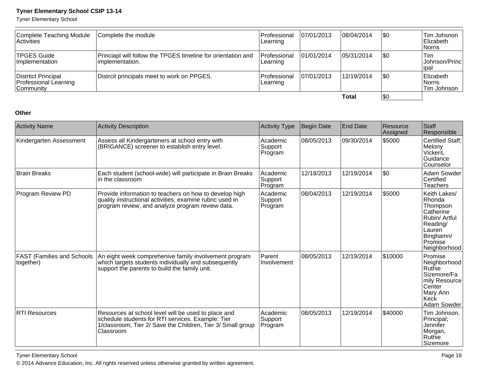Tyner Elementary School

| Complete Teaching Module<br><b>Activities</b>             | Complete the module                                                              | l Professional<br>ILearning     | 107/01/2013 | 108/04/2014 | \$0 | Tim Johsnon<br>Elizabeth<br><i><b>Norris</b></i> |
|-----------------------------------------------------------|----------------------------------------------------------------------------------|---------------------------------|-------------|-------------|-----|--------------------------------------------------|
| <b>TPGES Guide</b><br><b>Implementation</b>               | Princiapl will follow the TPGES timeline for orientation and<br>limplementation. | <b>Professional</b><br>Learning | 101/01/2014 | 105/31/2014 | \$0 | Tim<br> Johnson/Princ <br>lipal                  |
| Distrtict Principal<br>Professional Learning<br>Community | Distrcit principals meet to work on PPGES.                                       | l Professional<br>Learning      | 107/01/2013 | 12/19/2014  | \$0 | Elizabeth<br>∣Norris<br>Tim Johnson              |
|                                                           |                                                                                  |                                 |             | Total       | \$0 |                                                  |

#### **Other**

| <b>Activity Name</b>                           | <b>Activity Description</b>                                                                                                                                                                    | <b>Activity Type</b>             | Begin Date | <b>End Date</b> | Resource<br>Assigned | Staff<br>Responsible                                                                                                           |
|------------------------------------------------|------------------------------------------------------------------------------------------------------------------------------------------------------------------------------------------------|----------------------------------|------------|-----------------|----------------------|--------------------------------------------------------------------------------------------------------------------------------|
| Kindergarten Assessment                        | Assess all Kindergarteners at school entry with<br>(BRIGANCE) screener to establish entry level.                                                                                               | l Academic<br>Support<br>Program | 08/05/2013 | 09/30/2014      | \$5000               | <b>Certified Staff:</b><br>Melony<br>Vickers,<br>Guidance<br>Counselor                                                         |
| <b>Brain Breaks</b>                            | Each student (school-wide) will participate in Brain Breaks<br>in the classroom                                                                                                                | Academic<br>Support<br>Program   | 12/18/2013 | 12/19/2014      | \$0                  | Adam Sowder<br>Certified<br><b>Teachers</b>                                                                                    |
| <b>Program Review PD</b>                       | Provide information to teachers on how to develop high<br>quality instructional activities, examine rubric used in<br>program review, and analyze program review data.                         | Academic<br>Support<br>Program   | 08/04/2013 | 12/19/2014      | \$5000               | Keith Lakes/<br>Rhonda<br>Thompson<br>Catherine<br>Rubin/ Artful<br>Reading/<br>Lauren<br>Binghamn/<br>Promise<br>Neighborhood |
| <b>FAST (Families and Schools</b><br>together) | <b>Parent</b><br>An eight week comprehenive family involvement program<br>which targets students individually and subsequently<br>Involvement<br>support the parents to build the family unit. |                                  | 08/05/2013 | 12/19/2014      | \$10000              | Promise<br>Neighborhood<br><b>Ruthie</b><br>Sizemore/Fa<br>mily Resource<br>Center<br>Mary Ann<br>Keck<br>Adam Sowder          |
| <b>RTI Resources</b>                           | Resources at school level will be used to place and<br>schedule students for RTI services. Example: Tier<br>1/classroom, Tier 2/ Save the Children, Tier 3/ Small group<br>Classroom           | lAcademic<br>Support<br>Program  | 08/05/2013 | 12/19/2014      | \$40000              | Tim Johnson,<br>Principal;<br>Jennifer<br>Morgan,<br>Ruthie<br>Sizemore                                                        |

Tyner Elementary Schooll and the contract of the contract of the contract of the contract of the contract of the contract of the contract of the contract of the contract of the contract of the contract of the contract of the contract of the cont © 2014 Advance Education, Inc. All rights reserved unless otherwise granted by written agreement.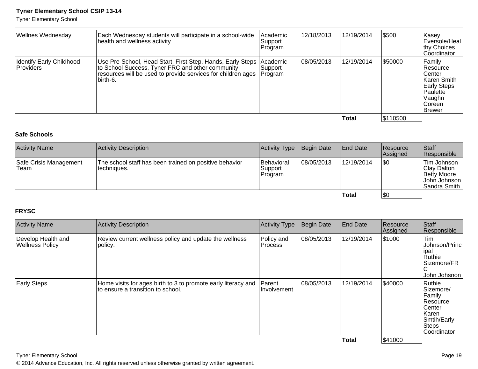Tyner Elementary School

| <b>Wellnes Wednesday</b>                     | Each Wednesday students will participate in a school-wide<br>health and wellness activity                                                                                                                      | Academic<br> Support_<br>Program | 12/18/2013 | 12/19/2014 | \$500    | Kasey<br>Eversole/Heal<br>thy Choices<br>Coordinator                                                                   |
|----------------------------------------------|----------------------------------------------------------------------------------------------------------------------------------------------------------------------------------------------------------------|----------------------------------|------------|------------|----------|------------------------------------------------------------------------------------------------------------------------|
| Identify Early Childhood<br><b>Providers</b> | Use Pre-School, Head Start, First Step, Hands, Early Steps   Academic<br>to School Success, Tyner FRC and other community<br>resources will be used to provide services for children ages Program<br>lbirth-6. | Support                          | 08/05/2013 | 12/19/2014 | \$50000  | Family<br><b>Resource</b><br>lCenter<br>Karen Smith<br><b>Early Steps</b><br>Paulette<br>Vaughn<br>l Coreen<br>∣Brewer |
|                                              |                                                                                                                                                                                                                |                                  |            | Total      | \$110500 |                                                                                                                        |

#### **Safe Schools**

| <b>Activity Name</b>           | Activity Description                                                   | Activity Type                              | Begin Date | <b>End Date</b> | <b>Resource</b><br><b>Assigned</b> | <b>Staff</b><br>Responsible                                               |
|--------------------------------|------------------------------------------------------------------------|--------------------------------------------|------------|-----------------|------------------------------------|---------------------------------------------------------------------------|
| Safe Crisis Management<br>Team | The school staff has been trained on positive behavior<br>Itechniques. | <b>Behavioral</b><br> Support_<br> Program | 08/05/2013 | 12/19/2014      | \$0                                | Tim Johnson<br>Clay Dalton<br>Betty Moore<br>John Johnson<br>Sandra Smith |
|                                |                                                                        |                                            |            | <b>Total</b>    | \$0                                |                                                                           |

#### **FRYSC**

| <b>Activity Name</b>                         | <b>Activity Description</b>                                                                        | <b>Activity Type</b>         | Begin Date | <b>End Date</b> | Resource<br>Assigned | Staff<br>Responsible                                                                                          |
|----------------------------------------------|----------------------------------------------------------------------------------------------------|------------------------------|------------|-----------------|----------------------|---------------------------------------------------------------------------------------------------------------|
| Develop Health and<br><b>Wellness Policy</b> | Review current wellness policy and update the wellness<br>policy.                                  | Policy and<br><b>Process</b> | 08/05/2013 | 12/19/2014      | \$1000               | Tim<br><b>Johnson/Princ</b><br>∣ipal<br>Ruthie<br>Sizemore/FR<br>C<br>John Johsnon                            |
| <b>Early Steps</b>                           | Home visits for ages birth to 3 to promote early literacy and<br>to ensure a transition to school. | Parent<br>Involvement        | 08/05/2013 | 12/19/2014      | \$40000              | Ruthie<br>Sizemore/<br>Family<br><b>Resource</b><br>Center<br> Karen <br>Smtih/Early<br>Steps<br>ICoordinator |
|                                              |                                                                                                    |                              |            | <b>Total</b>    | \$41000              |                                                                                                               |

Tyner Elementary Schooll and the contract of the contract of the contract of the contract of the contract of the contract of the contract of the contract of the contract of the contract of the contract of the contract of the contract of the cont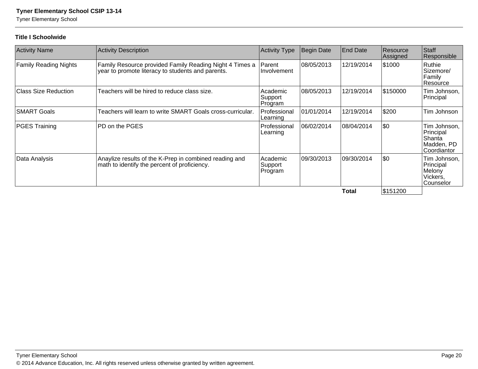Tyner Elementary School

#### **Title I Schoolwide**

| <b>Activity Name</b>         | <b>Activity Description</b>                                                                                  | <b>Activity Type</b>           | <b>Begin Date</b> | End Date    | Resource<br>Assigned | Staff<br>Responsible                                                    |
|------------------------------|--------------------------------------------------------------------------------------------------------------|--------------------------------|-------------------|-------------|----------------------|-------------------------------------------------------------------------|
| <b>Family Reading Nights</b> | Family Resource provided Family Reading Night 4 Times a<br>year to promote literacy to students and parents. | <b>Parent</b><br>I Involvement | 08/05/2013        | 12/19/2014  | \$1000               | Ruthie<br>Sizemore/<br>Family<br> Resource                              |
| <b>Class Size Reduction</b>  | Teachers will be hired to reduce class size.                                                                 | Academic<br>Support<br>Program | 08/05/2013        | 12/19/2014  | \$150000             | Tim Johnson,<br>Principal                                               |
| <b>SMART Goals</b>           | Teachers will learn to write SMART Goals cross-curricular.                                                   | Professional<br>Learning       | 01/01/2014        | 12/19/2014  | \$200                | Tim Johnson                                                             |
| <b>PGES Training</b>         | PD on the PGES                                                                                               | l Professional<br>Learning     | 106/02/2014       | 108/04/2014 | \$0                  | Tim Johnson,<br>Principal<br>Shanta<br>Madden. PD<br><b>Coordiantor</b> |
| Data Analysis                | Anaylize results of the K-Prep in combined reading and<br>math to identify the percent of proficiency.       | Academic<br>Support<br>Program | 09/30/2013        | 109/30/2014 | \$0                  | Tim Johnson,<br>Principal<br>Melony<br>Vickers,<br>Counselor            |
|                              |                                                                                                              |                                |                   | Total       | S151200              |                                                                         |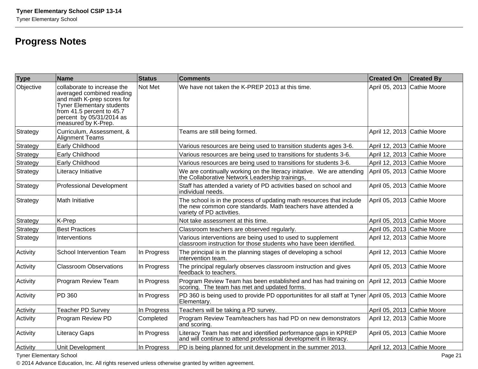# **Progress Notes**

| <b>Type</b> | Name                                                                                                                                                                                                       | Status      | <b>Comments</b>                                                                                                                                                   | <b>Created On</b>           | <b>Created By</b> |
|-------------|------------------------------------------------------------------------------------------------------------------------------------------------------------------------------------------------------------|-------------|-------------------------------------------------------------------------------------------------------------------------------------------------------------------|-----------------------------|-------------------|
| Objective   | collaborate to increase the<br>averaged combined reading<br>and math K-prep scores for<br><b>Tyner Elementary students</b><br>from 41.5 percent to 45.7<br>percent by 05/31/2014 as<br>measured by K-Prep. | Not Met     | We have not taken the K-PREP 2013 at this time.                                                                                                                   | April 05, 2013 Cathie Moore |                   |
| Strategy    | Curriculum, Assessment, &<br><b>Alignment Teams</b>                                                                                                                                                        |             | Teams are still being formed.                                                                                                                                     | April 12, 2013 Cathie Moore |                   |
| Strategy    | Early Childhood                                                                                                                                                                                            |             | Various resources are being used to transition students ages 3-6.                                                                                                 | April 12, 2013 Cathie Moore |                   |
| Strategy    | Early Childhood                                                                                                                                                                                            |             | Various resources are being used to transitions for students 3-6.                                                                                                 | April 12, 2013 Cathie Moore |                   |
| Strategy    | Early Childhood                                                                                                                                                                                            |             | Various resources are being used to transitions for students 3-6.                                                                                                 | April 12, 2013 Cathie Moore |                   |
| Strategy    | Literacy Initiative                                                                                                                                                                                        |             | We are continually working on the literacy initative. We are attending<br>the Collaborative Network Leadership trainings,                                         | April 05, 2013 Cathie Moore |                   |
| Strategy    | <b>Professional Development</b>                                                                                                                                                                            |             | Staff has attended a variety of PD activities based on school and<br>individual needs.                                                                            | April 05, 2013 Cathie Moore |                   |
| Strategy    | Math Initiative                                                                                                                                                                                            |             | The school is in the process of updating math resources that include<br>the new common core standards. Math teachers have attended a<br>variety of PD activities. | April 05, 2013 Cathie Moore |                   |
| Strategy    | K-Prep                                                                                                                                                                                                     |             | Not take assessment at this time.                                                                                                                                 | April 05, 2013 Cathie Moore |                   |
| Strategy    | <b>Best Practices</b>                                                                                                                                                                                      |             | Classroom teachers are observed regularly.                                                                                                                        | April 05, 2013 Cathie Moore |                   |
| Strategy    | Interventions                                                                                                                                                                                              |             | Various interventions are being used to used to supplement<br>classroom instruction for those students who have been identified.                                  | April 12, 2013 Cathie Moore |                   |
| Activity    | School Intervention Team                                                                                                                                                                                   | In Progress | The principal is in the planning stages of developing a school<br>intervention team.                                                                              | April 12, 2013 Cathie Moore |                   |
| Activity    | <b>Classroom Observations</b>                                                                                                                                                                              | In Progress | The principal regularly observes classroom instruction and gives<br>feedback to teachers.                                                                         | April 05, 2013 Cathie Moore |                   |
| Activity    | Program Review Team                                                                                                                                                                                        | In Progress | Program Review Team has been established and has had training on<br>scoring. The team has met and updated forms.                                                  | April 12, 2013 Cathie Moore |                   |
| Activity    | PD 360                                                                                                                                                                                                     | In Progress | PD 360 is being used to provide PD opportunitites for all staff at Tyner April 05, 2013 Cathie Moore<br>Elementary.                                               |                             |                   |
| Activity    | <b>Teacher PD Survey</b>                                                                                                                                                                                   | In Progress | Teachers will be taking a PD survey.                                                                                                                              | April 05, 2013 Cathie Moore |                   |
| Activity    | Program Review PD                                                                                                                                                                                          | Completed   | Program Review Team/teachers has had PD on new demonstrators<br>and scoring.                                                                                      | April 12, 2013 Cathie Moore |                   |
| Activity    | <b>Literacy Gaps</b>                                                                                                                                                                                       | In Progress | Literacy Team has met and identified performance gaps in KPREP<br>and will continue to attend professional development in literacy.                               | April 05, 2013 Cathie Moore |                   |
| Activity    | <b>Unit Development</b>                                                                                                                                                                                    | In Progress | PD is being planned for unit development in the summer 2013.                                                                                                      | April 12, 2013 Cathie Moore |                   |

Tyner Elementary School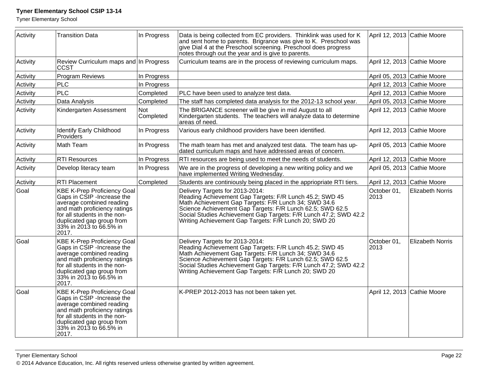Tyner Elementary School

| Activity | <b>Transition Data</b>                                                                                                                                                                                                         | In Progress      | Data is being collected from EC providers. Thinklink was used for K<br>and sent home to parents. Brigrance was give to K. Preschool was<br>give Dial 4 at the Preschool screening. Preschool does progress<br>notes through out the year and is give to parents.                                                                             | April 12, 2013 Cathie Moore |                         |
|----------|--------------------------------------------------------------------------------------------------------------------------------------------------------------------------------------------------------------------------------|------------------|----------------------------------------------------------------------------------------------------------------------------------------------------------------------------------------------------------------------------------------------------------------------------------------------------------------------------------------------|-----------------------------|-------------------------|
| Activity | Review Curriculum maps and In Progress<br>CCST                                                                                                                                                                                 |                  | Curriculum teams are in the process of reviewing curriculum maps.                                                                                                                                                                                                                                                                            | April 12, 2013 Cathie Moore |                         |
| Activity | Program Reviews                                                                                                                                                                                                                | In Progress      |                                                                                                                                                                                                                                                                                                                                              | April 05, 2013 Cathie Moore |                         |
| Activity | <b>PLC</b>                                                                                                                                                                                                                     | In Progress      |                                                                                                                                                                                                                                                                                                                                              | April 12, 2013 Cathie Moore |                         |
| Activity | PLC                                                                                                                                                                                                                            | Completed        | PLC have been used to analyze test data.                                                                                                                                                                                                                                                                                                     | April 12, 2013 Cathie Moore |                         |
| Activity | Data Analysis                                                                                                                                                                                                                  | Completed        | The staff has completed data analysis for the 2012-13 school year.                                                                                                                                                                                                                                                                           | April 05, 2013 Cathie Moore |                         |
| Activity | Kindergarten Assessment                                                                                                                                                                                                        | Not<br>Completed | The BRIGANCE screener will be give in mid August to all<br>Kindergarten students. The teachers will analyze data to determine<br>areas of need.                                                                                                                                                                                              | April 12, 2013 Cathie Moore |                         |
| Activity | <b>Identify Early Childhood</b><br>Providers                                                                                                                                                                                   | In Progress      | Various early childhood providers have been identified.                                                                                                                                                                                                                                                                                      | April 12, 2013 Cathie Moore |                         |
| Activity | Math Team                                                                                                                                                                                                                      | In Progress      | The math team has met and analyzed test data. The team has up-<br>dated curriculum maps and have addressed areas of concern.                                                                                                                                                                                                                 | April 05, 2013 Cathie Moore |                         |
| Activity | <b>RTI Resources</b>                                                                                                                                                                                                           | In Progress      | RTI resources are being used to meet the needs of students.                                                                                                                                                                                                                                                                                  | April 12, 2013 Cathie Moore |                         |
| Activity | Develop literacy team                                                                                                                                                                                                          | In Progress      | We are in the progress of developing a new writing policy and we<br>have implemented Writing Wednesday.                                                                                                                                                                                                                                      | April 05, 2013 Cathie Moore |                         |
| Activity | <b>RTI Placement</b>                                                                                                                                                                                                           | Completed        | Students are continiously being placed in the appriopriate RTI tiers.                                                                                                                                                                                                                                                                        | April 12, 2013 Cathie Moore |                         |
| Goal     | <b>KBE K-Prep Proficiency Goal</b><br>Gaps in CSIP - Increase the<br>average combined reading<br>and math proficiency ratings<br>for all students in the non-<br>duplicated gap group from<br>33% in 2013 to 66.5% in<br>2017. |                  | Delivery Targets for 2013-2014:<br>Reading Achievement Gap Targets: F/R Lunch 45.2; SWD 45<br>Math Achievement Gap Targets: F/R Lunch 34; SWD 34.6<br>Science Achievement Gap Targets: F/R Lunch 62.5; SWD 62.5<br>Social Studies Achievement Gap Targets: F/R Lunch 47.2; SWD 42.2<br>Writing Achievement Gap Targets: F/R Lunch 20; SWD 20 | October 01,<br>2013         | <b>Elizabeth Norris</b> |
| Goal     | <b>KBE K-Prep Proficiency Goal</b><br>Gaps in CSIP - Increase the<br>average combined reading<br>and math proficiency ratings<br>for all students in the non-<br>duplicated gap group from<br>33% in 2013 to 66.5% in<br>2017. |                  | Delivery Targets for 2013-2014:<br>Reading Achievement Gap Targets: F/R Lunch 45.2; SWD 45<br>Math Achievement Gap Targets: F/R Lunch 34; SWD 34.6<br>Science Achievement Gap Targets: F/R Lunch 62.5; SWD 62.5<br>Social Studies Achievement Gap Targets: F/R Lunch 47.2; SWD 42.2<br>Writing Achievement Gap Targets: F/R Lunch 20; SWD 20 | October 01,<br>2013         | <b>Elizabeth Norris</b> |
| Goal     | <b>KBE K-Prep Proficiency Goal</b><br>Gaps in CSIP - Increase the<br>average combined reading<br>and math proficiency ratings<br>for all students in the non-<br>duplicated gap group from<br>33% in 2013 to 66.5% in<br>2017. |                  | K-PREP 2012-2013 has not been taken yet.                                                                                                                                                                                                                                                                                                     | April 12, 2013 Cathie Moore |                         |